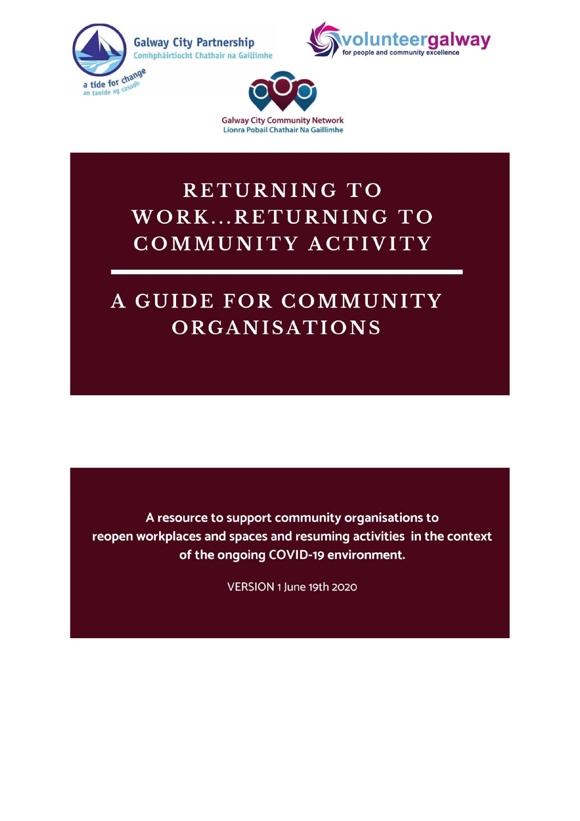





**RETURNING TO** WORK...RETURNING TO COMMUNITY ACTIVITY

# A GUIDE FOR COMMUNITY **ORGANISATIONS**

A resource to support community organisations to reopen workplaces and spaces and resuming activities in the context of the ongoing COVID-19 environment.

VERSION 1 June 19th 2020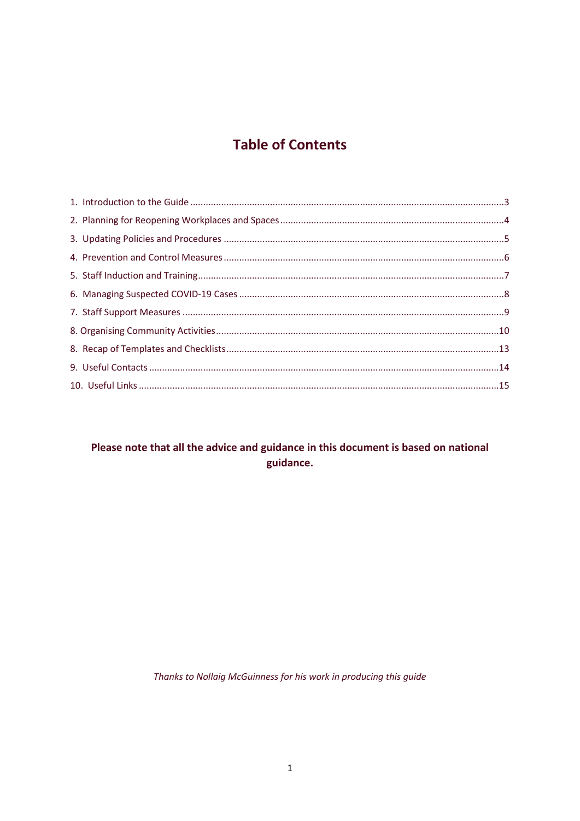# **Table of Contents**

### Please note that all the advice and guidance in this document is based on national guidance.

Thanks to Nollaig McGuinness for his work in producing this guide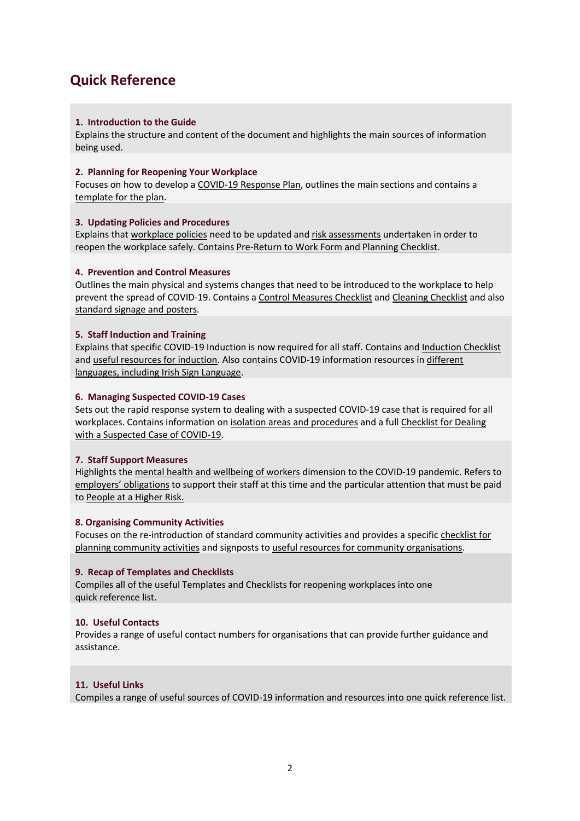### **Quick Reference**

#### **1. Introduction to the Guide**

Explains the structure and content of the document and highlights the main sources of information being used.

#### **2. Planning for Reopening Your Workplace**

Focuses on how to develop a COVID-19 Response Plan, outlines the main sections and contains a template for the plan.

#### **3. Updating Policies and Procedures**

Explains that workplace policies need to be updated and risk assessments undertaken in order to reopen the workplace safely. Contains Pre-Return to Work Form and Planning Checklist.

#### **4. Prevention and Control Measures**

Outlines the main physical and systems changes that need to be introduced to the workplace to help prevent the spread of COVID-19. Contains a Control Measures Checklist and Cleaning Checklist and also standard signage and posters.

#### **5. Staff Induction and Training**

Explains that specific COVID-19 Induction is now required for all staff. Contains and Induction Checklist and useful resources for induction. Also contains COVID-19 information resources in different languages, including Irish Sign Language.

#### **6. Managing Suspected COVID-19 Cases**

Sets out the rapid response system to dealing with a suspected COVID-19 case that is required for all workplaces. Contains information on isolation areas and procedures and a full Checklist for Dealing with a Suspected Case of COVID-19.

#### **7. Staff Support Measures**

Highlights the mental health and wellbeing of workers dimension to the COVID-19 pandemic. Refers to employers' obligations to support their staff at this time and the particular attention that must be paid to People at a Higher Risk.

#### **8. Organising Community Activities**

Focuses on the re-introduction of standard community activities and provides a specific checklist for planning community activities and signposts to useful resources for community organisations.

#### **9. Recap of Templates and Checklists**

Compiles all of the useful Templates and Checklists for reopening workplaces into one quick reference list.

#### **10. Useful Contacts**

Provides a range of useful contact numbers for organisations that can provide further guidance and assistance.

#### **11. Useful Links**

Compiles a range of useful sources of COVID-19 information and resources into one quick reference list.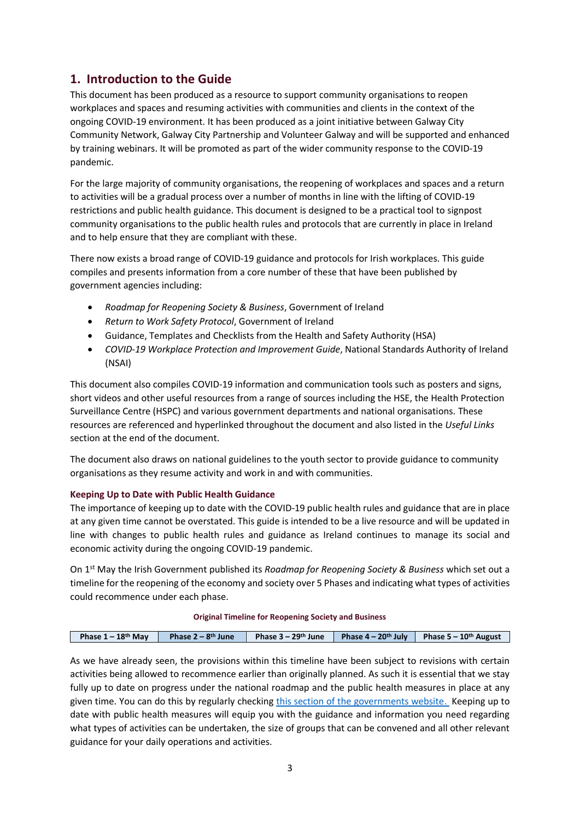### <span id="page-3-0"></span>**1. Introduction to the Guide**

This document has been produced as a resource to support community organisations to reopen workplaces and spaces and resuming activities with communities and clients in the context of the ongoing COVID-19 environment. It has been produced as a joint initiative between Galway City Community Network, Galway City Partnership and Volunteer Galway and will be supported and enhanced by training webinars. It will be promoted as part of the wider community response to the COVID-19 pandemic.

For the large majority of community organisations, the reopening of workplaces and spaces and a return to activities will be a gradual process over a number of months in line with the lifting of COVID-19 restrictions and public health guidance. This document is designed to be a practical tool to signpost community organisations to the public health rules and protocols that are currently in place in Ireland and to help ensure that they are compliant with these.

There now exists a broad range of COVID-19 guidance and protocols for Irish workplaces. This guide compiles and presents information from a core number of these that have been published by government agencies including:

- *Roadmap for Reopening Society & Business*, Government of Ireland
- *Return to Work Safety Protocol*, Government of Ireland
- Guidance, Templates and Checklists from the Health and Safety Authority (HSA)
- *COVID-19 Workplace Protection and Improvement Guide*, National Standards Authority of Ireland (NSAI)

This document also compiles COVID-19 information and communication tools such as posters and signs, short videos and other useful resources from a range of sources including the HSE, the Health Protection Surveillance Centre (HSPC) and various government departments and national organisations. These resources are referenced and hyperlinked throughout the document and also listed in the *Useful Links* section at the end of the document.

The document also draws on national guidelines to the youth sector to provide guidance to community organisations as they resume activity and work in and with communities.

#### **Keeping Up to Date with Public Health Guidance**

The importance of keeping up to date with the COVID-19 public health rules and guidance that are in place at any given time cannot be overstated. This guide is intended to be a live resource and will be updated in line with changes to public health rules and guidance as Ireland continues to manage its social and economic activity during the ongoing COVID-19 pandemic.

On 1st May the Irish Government published its *Roadmap for Reopening Society & Business* which set out a timeline for the reopening of the economy and society over 5 Phases and indicating what types of activities could recommence under each phase.

#### **Original Timeline for Reopening Society and Business**

| Phase $1 - 18$ <sup>th</sup> May | Phase $2-8$ <sup>th</sup> June |  | Phase 3 – 29 <sup>th</sup> June   Phase 4 – 20 <sup>th</sup> July   Phase 5 – 10 <sup>th</sup> August |
|----------------------------------|--------------------------------|--|-------------------------------------------------------------------------------------------------------|
|                                  |                                |  |                                                                                                       |

As we have already seen, the provisions within this timeline have been subject to revisions with certain activities being allowed to recommence earlier than originally planned. As such it is essential that we stay fully up to date on progress under the national roadmap and the public health measures in place at any given time. You can do this by regularly checking [this section of the governments website.](https://www.gov.ie/en/publication/cf9b0d-new-public-health-measures-effective-now-to-prevent-further-spread-o/) Keeping up to date with public health measures will equip you with the guidance and information you need regarding what types of activities can be undertaken, the size of groups that can be convened and all other relevant guidance for your daily operations and activities.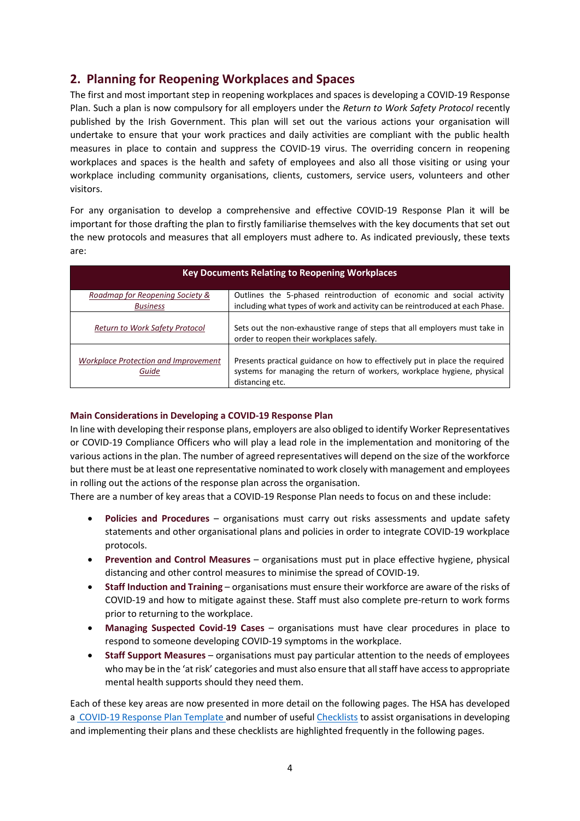### <span id="page-4-0"></span>**2. Planning for Reopening Workplaces and Spaces**

The first and most important step in reopening workplaces and spaces is developing a COVID-19 Response Plan. Such a plan is now compulsory for all employers under the *Return to Work Safety Protocol* recently published by the Irish Government. This plan will set out the various actions your organisation will undertake to ensure that your work practices and daily activities are compliant with the public health measures in place to contain and suppress the COVID-19 virus. The overriding concern in reopening workplaces and spaces is the health and safety of employees and also all those visiting or using your workplace including community organisations, clients, customers, service users, volunteers and other visitors.

For any organisation to develop a comprehensive and effective COVID-19 Response Plan it will be important for those drafting the plan to firstly familiarise themselves with the key documents that set out the new protocols and measures that all employers must adhere to. As indicated previously, these texts are:

| <b>Key Documents Relating to Reopening Workplaces</b> |                                                                                                                                                                           |  |  |
|-------------------------------------------------------|---------------------------------------------------------------------------------------------------------------------------------------------------------------------------|--|--|
| Roadmap for Reopening Society &<br><b>Business</b>    | Outlines the 5-phased reintroduction of economic and social activity<br>including what types of work and activity can be reintroduced at each Phase.                      |  |  |
| Return to Work Safety Protocol                        | Sets out the non-exhaustive range of steps that all employers must take in<br>order to reopen their workplaces safely.                                                    |  |  |
| <b>Workplace Protection and Improvement</b><br>Guide  | Presents practical guidance on how to effectively put in place the required<br>systems for managing the return of workers, workplace hygiene, physical<br>distancing etc. |  |  |

#### **Main Considerations in Developing a COVID-19 Response Plan**

In line with developing their response plans, employers are also obliged to identify Worker Representatives or COVID-19 Compliance Officers who will play a lead role in the implementation and monitoring of the various actions in the plan. The number of agreed representatives will depend on the size of the workforce but there must be at least one representative nominated to work closely with management and employees in rolling out the actions of the response plan across the organisation.

There are a number of key areas that a COVID-19 Response Plan needs to focus on and these include:

- **Policies and Procedures** organisations must carry out risks assessments and update safety statements and other organisational plans and policies in order to integrate COVID-19 workplace protocols.
- **Prevention and Control Measures** organisations must put in place effective hygiene, physical distancing and other control measures to minimise the spread of COVID-19.
- **Staff Induction and Training** organisations must ensure their workforce are aware of the risks of COVID-19 and how to mitigate against these. Staff must also complete pre-return to work forms prior to returning to the workplace.
- **Managing Suspected Covid-19 Cases** organisations must have clear procedures in place to respond to someone developing COVID-19 symptoms in the workplace.
- **Staff Support Measures** organisations must pay particular attention to the needs of employees who may be in the 'at risk' categories and must also ensure that all staff have access to appropriate mental health supports should they need them.

Each of these key areas are now presented in more detail on the following pages. The HSA has developed a [COVID-19 Response Plan Template](https://www.hsa.ie/eng/topics/covid-19/return_to_work_safely_templates_checklists_and_posters/covid19-response-plan-template1.pdf) and number of usefu[l Checklists](https://www.hsa.ie/eng/topics/covid-19/return_to_work_safely_templates_checklists_and_posters/) to assist organisations in developing and implementing their plans and these checklists are highlighted frequently in the following pages.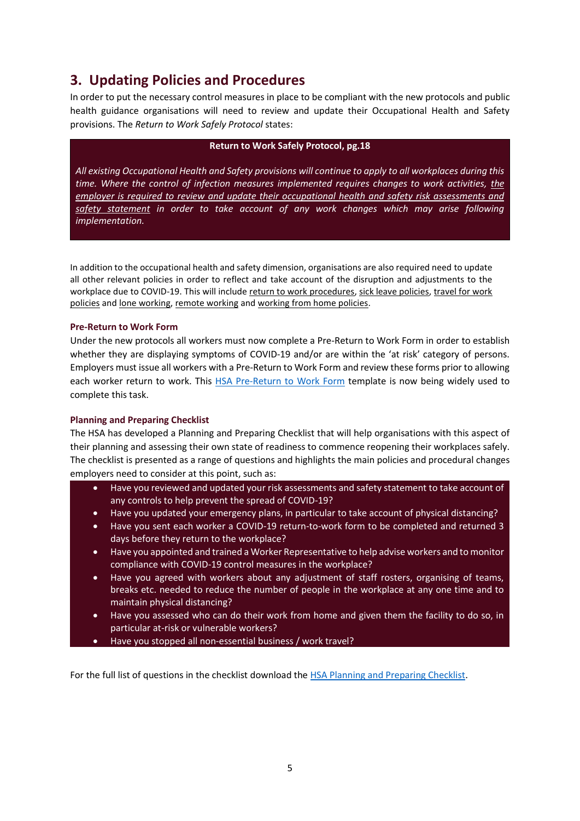### <span id="page-5-0"></span>**3. Updating Policies and Procedures**

In order to put the necessary control measures in place to be compliant with the new protocols and public health guidance organisations will need to review and update their Occupational Health and Safety provisions. The *Return to Work Safely Protocol* states:

#### **Return to Work Safely Protocol, pg.18**

*All existing Occupational Health and Safety provisions will continue to apply to all workplaces during this time. Where the control of infection measures implemented requires changes to work activities, the employer is required to review and update their occupational health and safety risk assessments and safety statement in order to take account of any work changes which may arise following implementation.*

In addition to the occupational health and safety dimension, organisations are also required need to update all other relevant policies in order to reflect and take account of the disruption and adjustments to the workplace due to COVID-19. This will include return to work procedures, sick leave policies, travel for work policies and lone working, remote working and working from home policies.

#### **Pre-Return to Work Form**

Under the new protocols all workers must now complete a Pre-Return to Work Form in order to establish whether they are displaying symptoms of COVID-19 and/or are within the 'at risk' category of persons. Employers must issue all workers with a Pre-Return to Work Form and review these forms prior to allowing each worker return to work. This [HSA Pre-Return to Work Form](https://www.hsa.ie/eng/topics/covid-19/return_to_work_safely_templates_checklists_and_posters/return_to_work_form.pdf) template is now being widely used to complete this task.

#### **Planning and Preparing Checklist**

The HSA has developed a Planning and Preparing Checklist that will help organisations with this aspect of their planning and assessing their own state of readiness to commence reopening their workplaces safely. The checklist is presented as a range of questions and highlights the main policies and procedural changes employers need to consider at this point, such as:

- Have you reviewed and updated your risk assessments and safety statement to take account of any controls to help prevent the spread of COVID-19?
- Have you updated your emergency plans, in particular to take account of physical distancing?
- Have you sent each worker a COVID-19 return-to-work form to be completed and returned 3 days before they return to the workplace?
- Have you appointed and trained a Worker Representative to help advise workers and to monitor compliance with COVID-19 control measures in the workplace?
- Have you agreed with workers about any adjustment of staff rosters, organising of teams, breaks etc. needed to reduce the number of people in the workplace at any one time and to maintain physical distancing?
- Have you assessed who can do their work from home and given them the facility to do so, in particular at-risk or vulnerable workers?
- Have you stopped all non-essential business / work travel?

For the full list of questions in the checklist download th[e HSA Planning and Preparing Checklist.](https://www.hsa.ie/eng/topics/covid-19/return_to_work_safely_templates_checklists_and_posters/employers_checklist_no11.pdf)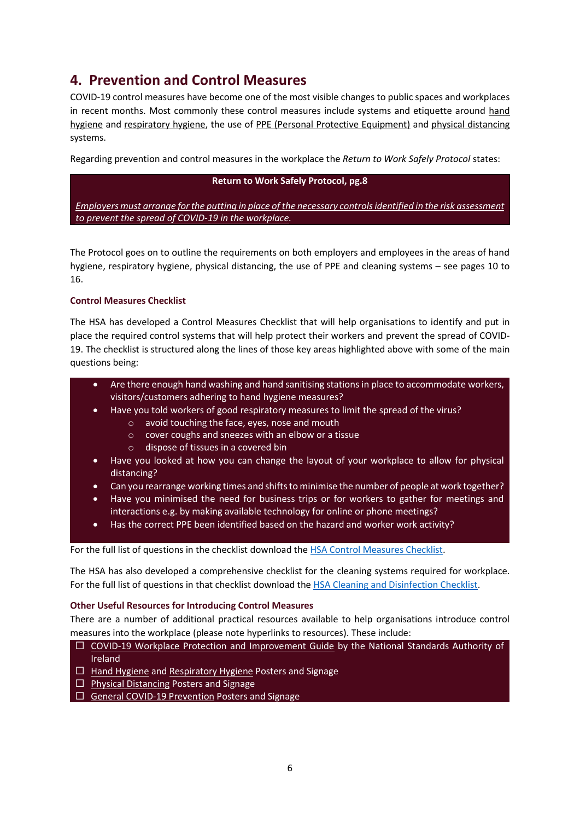### <span id="page-6-0"></span>**4. Prevention and Control Measures**

COVID-19 control measures have become one of the most visible changes to public spaces and workplaces in recent months. Most commonly these control measures include systems and etiquette around hand hygiene and respiratory hygiene, the use of PPE (Personal Protective Equipment) and physical distancing systems.

Regarding prevention and control measures in the workplace the *Return to Work Safely Protocol* states:

#### **Return to Work Safely Protocol, pg.8**

*Employers must arrange for the putting in place of the necessary controls identified in the risk assessment to prevent the spread of COVID-19 in the workplace.*

The Protocol goes on to outline the requirements on both employers and employees in the areas of hand hygiene, respiratory hygiene, physical distancing, the use of PPE and cleaning systems – see pages 10 to 16.

#### **Control Measures Checklist**

The HSA has developed a Control Measures Checklist that will help organisations to identify and put in place the required control systems that will help protect their workers and prevent the spread of COVID-19. The checklist is structured along the lines of those key areas highlighted above with some of the main questions being:

- Are there enough hand washing and hand sanitising stations in place to accommodate workers, visitors/customers adhering to hand hygiene measures?
- Have you told workers of good respiratory measures to limit the spread of the virus?
	- o avoid touching the face, eyes, nose and mouth
		- o cover coughs and sneezes with an elbow or a tissue
		- o dispose of tissues in a covered bin
- Have you looked at how you can change the layout of your workplace to allow for physical distancing?
- Can you rearrange working times and shifts to minimise the number of people at work together?
- Have you minimised the need for business trips or for workers to gather for meetings and interactions e.g. by making available technology for online or phone meetings?
- Has the correct PPE been identified based on the hazard and worker work activity?

For the full list of questions in the checklist download th[e HSA Control Measures Checklist.](https://www.hsa.ie/eng/topics/covid-19/return_to_work_safely_templates_checklists_and_posters/employers_checklist_no2_control_measure1.pdf)

The HSA has also developed a comprehensive checklist for the cleaning systems required for workplace. For the full list of questions in that checklist download th[e HSA Cleaning and Disinfection Checklist.](https://www.hsa.ie/eng/topics/covid-19/return_to_work_safely_templates_checklists_and_posters/employers_checklist_no5_cleaning-and-disinfection1.pdf)

#### **Other Useful Resources for Introducing Control Measures**

There are a number of additional practical resources available to help organisations introduce control measures into the workplace (please note hyperlinks to resources). These include:

- $\Box$  [COVID-19 Workplace Protection and Improvement Guide](file:///C:/Users/NollaigMcGuinness/Desktop/Return%20to%20Work/NSAI-Guidelines-COVID-19-Workplace%20Protection%20&%20Improvement.pdf) by the National Standards Authority of Ireland
- $\Box$  [Hand Hygiene](https://www.gov.ie/en/collection/02cd5c-covid-19-information-resources/#hand-hygiene-posters) and [Respiratory Hygiene](https://www.hpsc.ie/a-z/respiratory/coronavirus/novelcoronavirus/posters/) Posters and Signage
- $\Box$  [Physical Distancing](https://www.gov.ie/en/collection/428743-covid-19-coronavirus-physical-distancing-graphics/) Posters and Signage
- $\Box$  [General COVID-19 Prevention](https://www.hsa.ie/eng/topics/covid-19/covid-19_coronavirus.html) Posters and Signage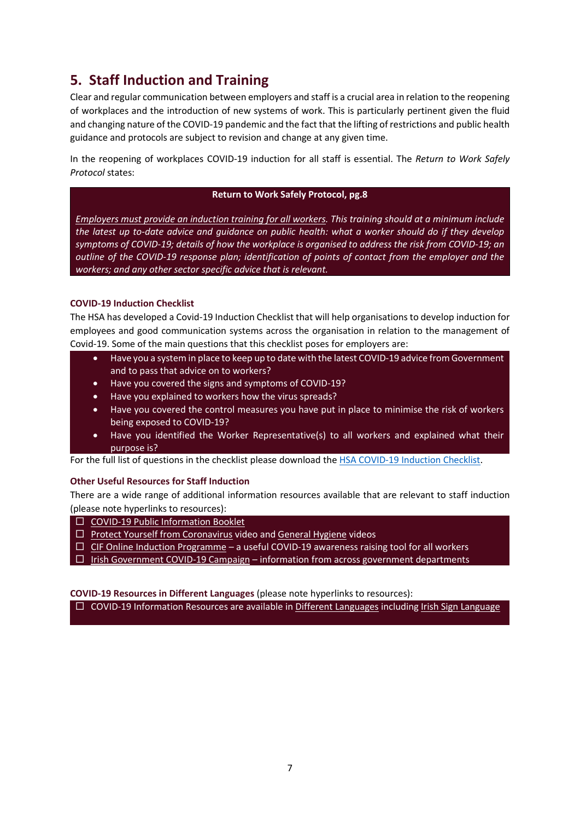# <span id="page-7-0"></span>**5. Staff Induction and Training**

Clear and regular communication between employers and staff is a crucial area in relation to the reopening of workplaces and the introduction of new systems of work. This is particularly pertinent given the fluid and changing nature of the COVID-19 pandemic and the fact that the lifting of restrictions and public health guidance and protocols are subject to revision and change at any given time.

In the reopening of workplaces COVID-19 induction for all staff is essential. The *Return to Work Safely Protocol* states:

#### **Return to Work Safely Protocol, pg.8**

*Employers must provide an induction training for all workers. This training should at a minimum include the latest up to-date advice and guidance on public health: what a worker should do if they develop symptoms of COVID-19; details of how the workplace is organised to address the risk from COVID-19; an outline of the COVID-19 response plan; identification of points of contact from the employer and the workers; and any other sector specific advice that is relevant.*

#### **COVID-19 Induction Checklist**

The HSA has developed a Covid-19 Induction Checklist that will help organisations to develop induction for employees and good communication systems across the organisation in relation to the management of Covid-19. Some of the main questions that this checklist poses for employers are:

- Have you a system in place to keep up to date with the latest COVID-19 advice from Government and to pass that advice on to workers?
- Have you covered the signs and symptoms of COVID-19?
- Have you explained to workers how the virus spreads?
- Have you covered the control measures you have put in place to minimise the risk of workers being exposed to COVID-19?
- Have you identified the Worker Representative(s) to all workers and explained what their purpose is?

For the full list of questions in the checklist please download th[e HSA COVID-19 Induction Checklist.](https://www.hsa.ie/eng/topics/covid-19/return_to_work_safely_templates_checklists_and_posters/employers_checklist_no3_induction1.pdf)

#### **Other Useful Resources for Staff Induction**

There are a wide range of additional information resources available that are relevant to staff induction (please note hyperlinks to resources):

- [COVID-19 Public Information Booklet](https://www.hse.ie/eng/services/news/newsfeatures/covid19-updates/partner-resources/covid-19-information-booklet.pdf)
- $\Box$  [Protect Yourself from Coronavirus](https://www.youtube.com/watch?v=ztj7JhMt3Wc) video an[d General Hygiene](https://healthservice.hse.ie/staff/coronavirus/policies-procedures-guidelines/covid-19-posters-and-communications-materials.html) videos
- $\Box$  [CIF Online Induction Programme](https://cif.ie/induction/) a useful COVID-19 awareness raising tool for all workers
- $\Box$  [Irish Government COVID-19 Campaign](https://www.gov.ie/en/campaigns/c36c85-covid-19-coronavirus/) information from across government departments

**COVID-19 Resources in Different Languages** (please note hyperlinks to resources):

<span id="page-7-1"></span>COVID-19 Information Resources are available in [Different Languages](https://www.hse.ie/eng/services/news/newsfeatures/covid19-updates/partner-resources/covid-19-translated-resources/) including [Irish Sign Language](https://www.hse.ie/eng/services/news/newsfeatures/covid19-updates/partner-resources/covid-19-irish-sign-language-isl-resources/covid-19-irish-sign-language-isl-resources.html)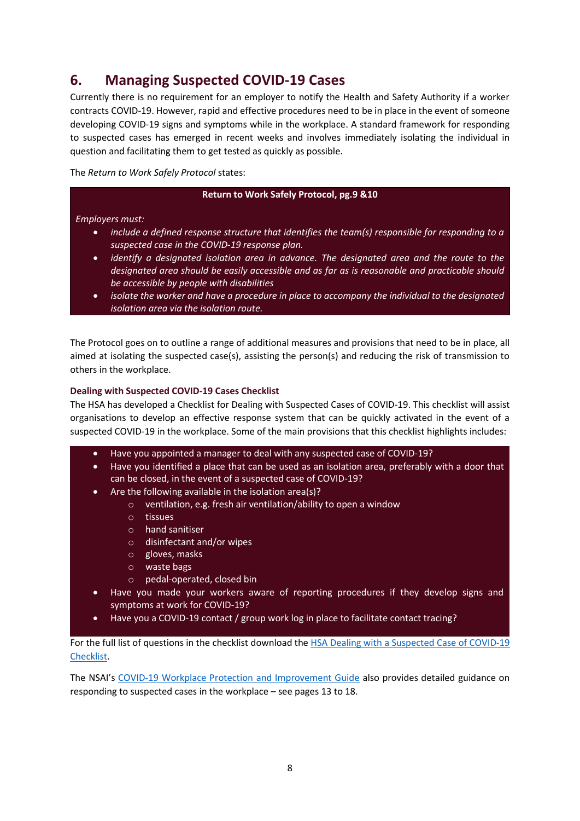### **6. Managing Suspected COVID-19 Cases**

Currently there is no requirement for an employer to notify the Health and Safety Authority if a worker contracts COVID-19. However, rapid and effective procedures need to be in place in the event of someone developing COVID-19 signs and symptoms while in the workplace. A standard framework for responding to suspected cases has emerged in recent weeks and involves immediately isolating the individual in question and facilitating them to get tested as quickly as possible.

The *Return to Work Safely Protocol* states:

#### **Return to Work Safely Protocol, pg.9 &10**

#### *Employers must:*

- *include a defined response structure that identifies the team(s) responsible for responding to a suspected case in the COVID-19 response plan.*
- *identify a designated isolation area in advance. The designated area and the route to the designated area should be easily accessible and as far as is reasonable and practicable should be accessible by people with disabilities*
- *isolate the worker and have a procedure in place to accompany the individual to the designated isolation area via the isolation route.*

The Protocol goes on to outline a range of additional measures and provisions that need to be in place, all aimed at isolating the suspected case(s), assisting the person(s) and reducing the risk of transmission to others in the workplace.

#### **Dealing with Suspected COVID-19 Cases Checklist**

The HSA has developed a Checklist for Dealing with Suspected Cases of COVID-19. This checklist will assist organisations to develop an effective response system that can be quickly activated in the event of a suspected COVID-19 in the workplace. Some of the main provisions that this checklist highlights includes:

- Have you appointed a manager to deal with any suspected case of COVID-19?
- Have you identified a place that can be used as an isolation area, preferably with a door that can be closed, in the event of a suspected case of COVID-19?
- Are the following available in the isolation area(s)?
	- o ventilation, e.g. fresh air ventilation/ability to open a window
	- o tissues
	- o hand sanitiser
	- o disinfectant and/or wipes
	- o gloves, masks
	- o waste bags
	- o pedal-operated, closed bin
- Have you made your workers aware of reporting procedures if they develop signs and symptoms at work for COVID-19?
- Have you a COVID-19 contact / group work log in place to facilitate contact tracing?

For the full list of questions in the checklist download the [HSA Dealing with a Suspected Case of COVID-19](https://www.hsa.ie/eng/topics/covid-19/return_to_work_safely_templates_checklists_and_posters/employers-checklist-no-41.pdf)  [Checklist.](https://www.hsa.ie/eng/topics/covid-19/return_to_work_safely_templates_checklists_and_posters/employers-checklist-no-41.pdf)

The NSAI's [COVID-19 Workplace Protection and Improvement Guide](file:///C:/Users/NollaigMcGuinness/Desktop/Return%20to%20Work/NSAI-Guidelines-COVID-19-Workplace%20Protection%20&%20Improvement.pdf) also provides detailed guidance on responding to suspected cases in the workplace – see pages 13 to 18.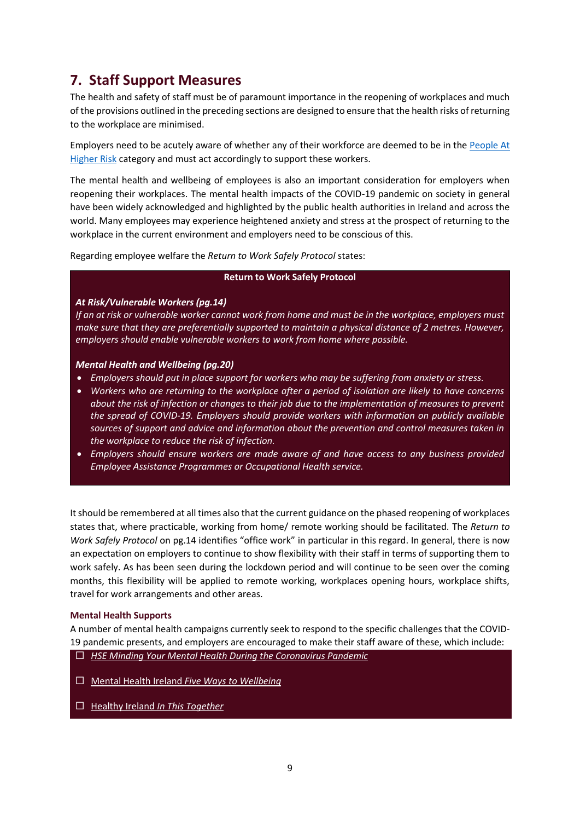# <span id="page-9-0"></span>**7. Staff Support Measures**

The health and safety of staff must be of paramount importance in the reopening of workplaces and much of the provisions outlined in the preceding sections are designed to ensure that the health risks of returning to the workplace are minimised.

Employers need to be acutely aware of whether any of their workforce are deemed to be in the [People At](https://www2.hse.ie/conditions/coronavirus/people-at-higher-risk.html)  [Higher Risk](https://www2.hse.ie/conditions/coronavirus/people-at-higher-risk.html) category and must act accordingly to support these workers.

The mental health and wellbeing of employees is also an important consideration for employers when reopening their workplaces. The mental health impacts of the COVID-19 pandemic on society in general have been widely acknowledged and highlighted by the public health authorities in Ireland and across the world. Many employees may experience heightened anxiety and stress at the prospect of returning to the workplace in the current environment and employers need to be conscious of this.

Regarding employee welfare the *Return to Work Safely Protocol* states:

#### **Return to Work Safely Protocol**

#### *At Risk/Vulnerable Workers (pg.14)*

*If an at risk or vulnerable worker cannot work from home and must be in the workplace, employers must make sure that they are preferentially supported to maintain a physical distance of 2 metres. However, employers should enable vulnerable workers to work from home where possible.*

#### *Mental Health and Wellbeing (pg.20)*

- *Employers should put in place support for workers who may be suffering from anxiety or stress.*
- *Workers who are returning to the workplace after a period of isolation are likely to have concerns about the risk of infection or changes to their job due to the implementation of measures to prevent the spread of COVID-19. Employers should provide workers with information on publicly available sources of support and advice and information about the prevention and control measures taken in the workplace to reduce the risk of infection.*
- *Employers should ensure workers are made aware of and have access to any business provided Employee Assistance Programmes or Occupational Health service.*

It should be remembered at all times also that the current guidance on the phased reopening of workplaces states that, where practicable, working from home/ remote working should be facilitated. The *Return to Work Safely Protocol* on pg.14 identifies "office work" in particular in this regard. In general, there is now an expectation on employers to continue to show flexibility with their staff in terms of supporting them to work safely. As has been seen during the lockdown period and will continue to be seen over the coming months, this flexibility will be applied to remote working, workplaces opening hours, workplace shifts, travel for work arrangements and other areas.

#### **Mental Health Supports**

A number of mental health campaigns currently seek to respond to the specific challenges that the COVID-19 pandemic presents, and employers are encouraged to make their staff aware of these, which include:

- *[HSE Minding Your Mental Health During the Coronavirus Pandemic](https://www2.hse.ie/wellbeing/mental-health/covid-19/minding-your-mental-health-during-the-coronavirus-outbreak.html)*
- Mental Health Ireland *[Five Ways to Wellbeing](https://www.mentalhealthireland.ie/five-ways-to-wellbeing/)*
- Healthy Ireland *[In This Together](https://www.gov.ie/en/campaigns/together/)*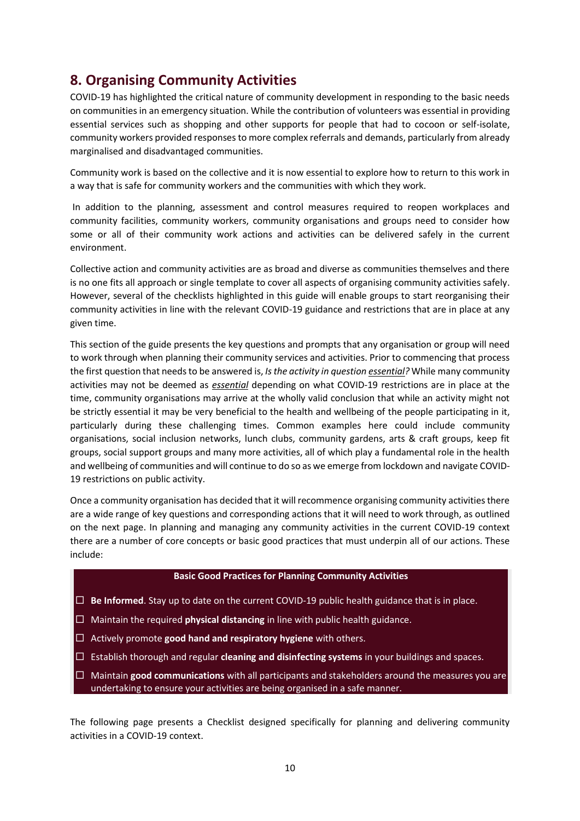# <span id="page-10-0"></span>**8. Organising Community Activities**

COVID-19 has highlighted the critical nature of community development in responding to the basic needs on communities in an emergency situation. While the contribution of volunteers was essential in providing essential services such as shopping and other supports for people that had to cocoon or self-isolate, community workers provided responses to more complex referrals and demands, particularly from already marginalised and disadvantaged communities.

Community work is based on the collective and it is now essential to explore how to return to this work in a way that is safe for community workers and the communities with which they work.

In addition to the planning, assessment and control measures required to reopen workplaces and community facilities, community workers, community organisations and groups need to consider how some or all of their community work actions and activities can be delivered safely in the current environment.

Collective action and community activities are as broad and diverse as communities themselves and there is no one fits all approach or single template to cover all aspects of organising community activities safely. However, several of the checklists highlighted in this guide will enable groups to start reorganising their community activities in line with the relevant COVID-19 guidance and restrictions that are in place at any given time.

This section of the guide presents the key questions and prompts that any organisation or group will need to work through when planning their community services and activities. Prior to commencing that process the first question that needs to be answered is, *Is the activity in question essential?* While many community activities may not be deemed as *essential* depending on what COVID-19 restrictions are in place at the time, community organisations may arrive at the wholly valid conclusion that while an activity might not be strictly essential it may be very beneficial to the health and wellbeing of the people participating in it, particularly during these challenging times. Common examples here could include community organisations, social inclusion networks, lunch clubs, community gardens, arts & craft groups, keep fit groups, social support groups and many more activities, all of which play a fundamental role in the health and wellbeing of communities and will continue to do so as we emerge from lockdown and navigate COVID-19 restrictions on public activity.

Once a community organisation has decided that it will recommence organising community activities there are a wide range of key questions and corresponding actions that it will need to work through, as outlined on the next page. In planning and managing any community activities in the current COVID-19 context there are a number of core concepts or basic good practices that must underpin all of our actions. These include:

#### **Basic Good Practices for Planning Community Activities**

- **Be Informed**. Stay up to date on the current COVID-19 public health guidance that is in place.
- Maintain the required **physical distancing** in line with public health guidance.
- Actively promote **good hand and respiratory hygiene** with others.
- Establish thorough and regular **cleaning and disinfecting systems** in your buildings and spaces.
- Maintain **good communications** with all participants and stakeholders around the measures you are undertaking to ensure your activities are being organised in a safe manner.

The following page presents a Checklist designed specifically for planning and delivering community activities in a COVID-19 context.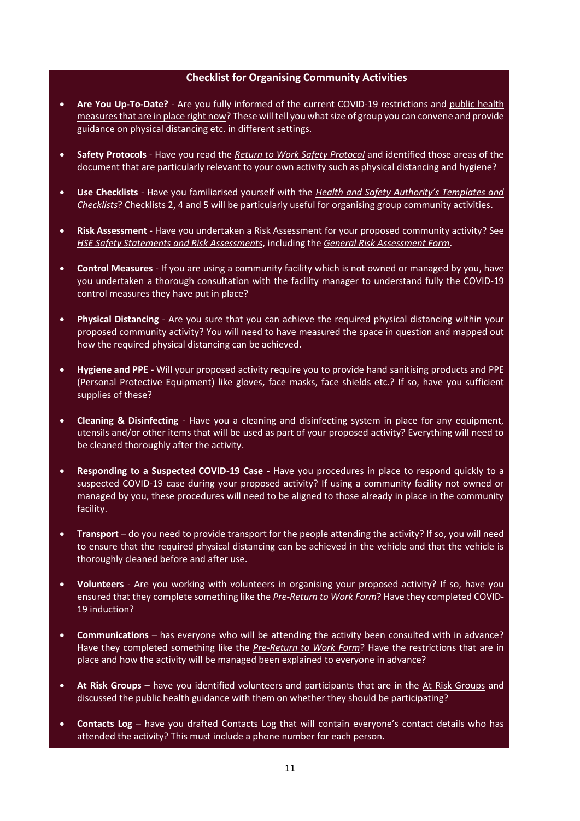#### **Checklist for Organising Community Activities**

- **Are You Up-To-Date?** Are you fully informed of the current COVID-19 restrictions [and public health](https://www.gov.ie/en/publication/cf9b0d-new-public-health-measures-effective-now-to-prevent-further-spread-o/)  [measures that are in place right now?](https://www.gov.ie/en/publication/cf9b0d-new-public-health-measures-effective-now-to-prevent-further-spread-o/) These will tell you what size of group you can convene and provide guidance on physical distancing etc. in different settings.
- **Safety Protocols** Have you read the *[Return to Work](https://www.gov.ie/en/publication/22829a-return-to-work-safely-protocol/) Safety Protocol* and identified those areas of the document that are particularly relevant to your own activity such as physical distancing and hygiene?
- **Use Checklists** Have you familiarised yourself with the *[Health and Safety Authority's Templates and](https://www.hsa.ie/eng/topics/covid-19/return_to_work_safely_templates_checklists_and_posters/)  [Checklists](https://www.hsa.ie/eng/topics/covid-19/return_to_work_safely_templates_checklists_and_posters/)*? Checklists 2, 4 and 5 will be particularly useful for organising group community activities.
- **Risk Assessment** Have you undertaken a Risk Assessment for your proposed community activity? See *[HSE Safety Statements and Risk Assessments](https://www.hse.ie/eng/staff/safetywellbeing/healthsafetyand%20wellbeing/safetystatementsandriskassessments.html)*, including the *[General Risk Assessment Form](https://www.hse.ie/eng/staff/safetywellbeing/healthsafetyand%20wellbeing/generalriskassessmentform.docx)*.
- **Control Measures** If you are using a community facility which is not owned or managed by you, have you undertaken a thorough consultation with the facility manager to understand fully the COVID-19 control measures they have put in place?
- **Physical Distancing** Are you sure that you can achieve the required physical distancing within your proposed community activity? You will need to have measured the space in question and mapped out how the required physical distancing can be achieved.
- **Hygiene and PPE** Will your proposed activity require you to provide hand sanitising products and PPE (Personal Protective Equipment) like gloves, face masks, face shields etc.? If so, have you sufficient supplies of these?
- **Cleaning & Disinfecting** Have you a cleaning and disinfecting system in place for any equipment, utensils and/or other items that will be used as part of your proposed activity? Everything will need to be cleaned thoroughly after the activity.
- **Responding to a Suspected COVID-19 Case** Have you procedures in place to respond quickly to a suspected COVID-19 case during your proposed activity? If using a community facility not owned or managed by you, these procedures will need to be aligned to those already in place in the community facility.
- **Transport** do you need to provide transport for the people attending the activity? If so, you will need to ensure that the required physical distancing can be achieved in the vehicle and that the vehicle is thoroughly cleaned before and after use.
- **Volunteers** Are you working with volunteers in organising your proposed activity? If so, have you ensured that they complete something like the *[Pre-Return to Work Form](https://www.hsa.ie/eng/topics/covid-19/return_to_work_safely_templates_checklists_and_posters/return_to_work_form.pdf)*? Have they completed COVID-19 induction?
- **Communications** has everyone who will be attending the activity been consulted with in advance? Have they completed something like the *[Pre-Return to Work Form](https://www.hsa.ie/eng/topics/covid-19/return_to_work_safely_templates_checklists_and_posters/return_to_work_form.pdf)*? Have the restrictions that are in place and how the activity will be managed been explained to everyone in advance?
- **At Risk Groups** have you identified volunteers and participants that are in the [At Risk Groups](https://www2.hse.ie/conditions/coronavirus/people-at-higher-risk.html) and discussed the public health guidance with them on whether they should be participating?
- **Contacts Log** have you drafted Contacts Log that will contain everyone's contact details who has attended the activity? This must include a phone number for each person.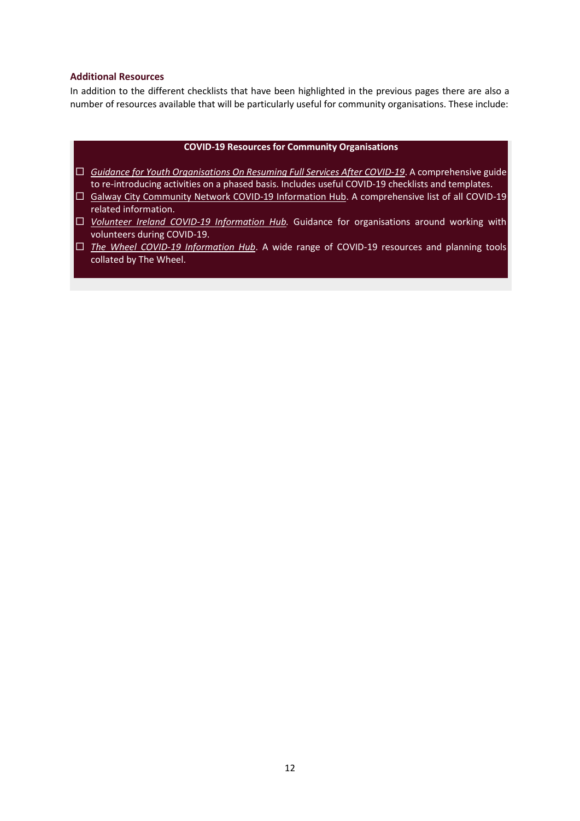#### **Additional Resources**

In addition to the different checklists that have been highlighted in the previous pages there are also a number of resources available that will be particularly useful for community organisations. These include:

#### **COVID-19 Resources for Community Organisations**

- *[Guidance for Youth Organisations On Resuming Full Services After COVID-19](https://www.gov.ie/en/publication/58393-guidance-for-youth-organisations-on-resuming-full-services-after-covid-19/)*. A comprehensive guide to re-introducing activities on a phased basis. Includes useful COVID-19 checklists and templates.
- $\Box$  [Galway City Community Network](https://galwaycitycommunitynetwork.ie/covid-19-information/) COVID-19 Information Hub. A comprehensive list of all COVID-19 related information.
- *[Volunteer Ireland COVID-19 Information Hub.](https://www.volunteer.ie/about-us/covid-19/covid-19-resources/)* Guidance for organisations around working with volunteers during COVID-19.
- *[The Wheel COVID-19 Information Hub](https://www.wheel.ie/advice-guidance/COVID-19)*. A wide range of COVID-19 resources and planning tools collated by The Wheel.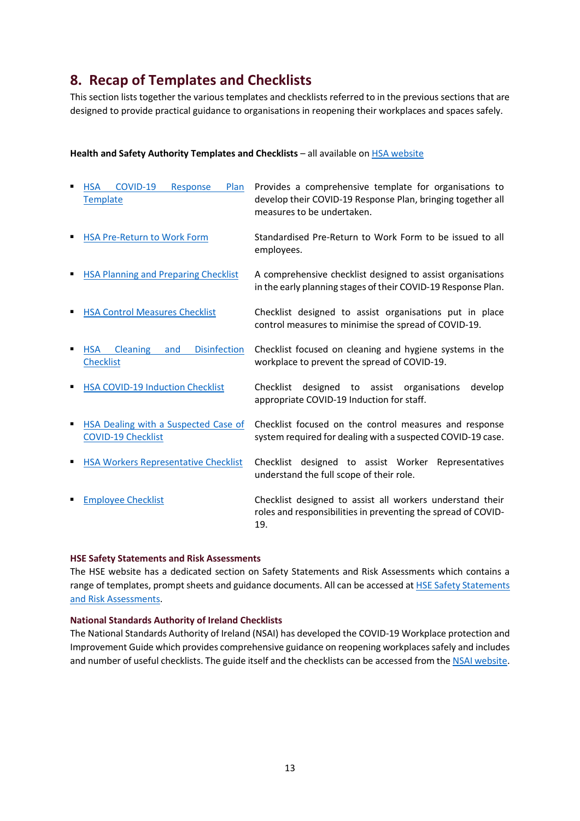### <span id="page-13-0"></span>**8. Recap of Templates and Checklists**

This section lists together the various templates and checklists referred to in the previous sections that are designed to provide practical guidance to organisations in reopening their workplaces and spaces safely.

#### **Health and Safety Authority Templates and Checklists** – all available on **HSA** website

| <b>HSA</b><br>COVID-19<br>Response<br>Plan<br>Template                          | Provides a comprehensive template for organisations to<br>develop their COVID-19 Response Plan, bringing together all<br>measures to be undertaken. |
|---------------------------------------------------------------------------------|-----------------------------------------------------------------------------------------------------------------------------------------------------|
| <b>HSA Pre-Return to Work Form</b>                                              | Standardised Pre-Return to Work Form to be issued to all<br>employees.                                                                              |
| <b>HSA Planning and Preparing Checklist</b>                                     | A comprehensive checklist designed to assist organisations<br>in the early planning stages of their COVID-19 Response Plan.                         |
| <b>HSA Control Measures Checklist</b>                                           | Checklist designed to assist organisations put in place<br>control measures to minimise the spread of COVID-19.                                     |
| <b>Disinfection</b><br><b>Cleaning</b><br><b>HSA</b><br>and<br><b>Checklist</b> | Checklist focused on cleaning and hygiene systems in the<br>workplace to prevent the spread of COVID-19.                                            |
| <b>HSA COVID-19 Induction Checklist</b>                                         | Checklist<br>designed to assist organisations<br>develop<br>appropriate COVID-19 Induction for staff.                                               |
| <b>HSA Dealing with a Suspected Case of</b><br>٠<br><b>COVID-19 Checklist</b>   | Checklist focused on the control measures and response<br>system required for dealing with a suspected COVID-19 case.                               |
| <b>HSA Workers Representative Checklist</b><br>٠                                | Checklist designed to assist Worker Representatives<br>understand the full scope of their role.                                                     |
| <b>Employee Checklist</b>                                                       | Checklist designed to assist all workers understand their<br>roles and responsibilities in preventing the spread of COVID-<br>19.                   |

#### **HSE Safety Statements and Risk Assessments**

The HSE website has a dedicated section on Safety Statements and Risk Assessments which contains a range of templates, prompt sheets and guidance documents. All can be accessed at HSE Safety Statements [and Risk Assessments.](https://www.hse.ie/eng/staff/safetywellbeing/healthsafetyand%20wellbeing/safetystatementsandriskassessments.html)

#### **National Standards Authority of Ireland Checklists**

The National Standards Authority of Ireland (NSAI) has developed the COVID-19 Workplace protection and Improvement Guide which provides comprehensive guidance on reopening workplaces safely and includes and number of useful checklists. The guide itself and the checklists can be accessed from th[e NSAI website.](https://www.nsai.ie/covid-19workplaceprotection/)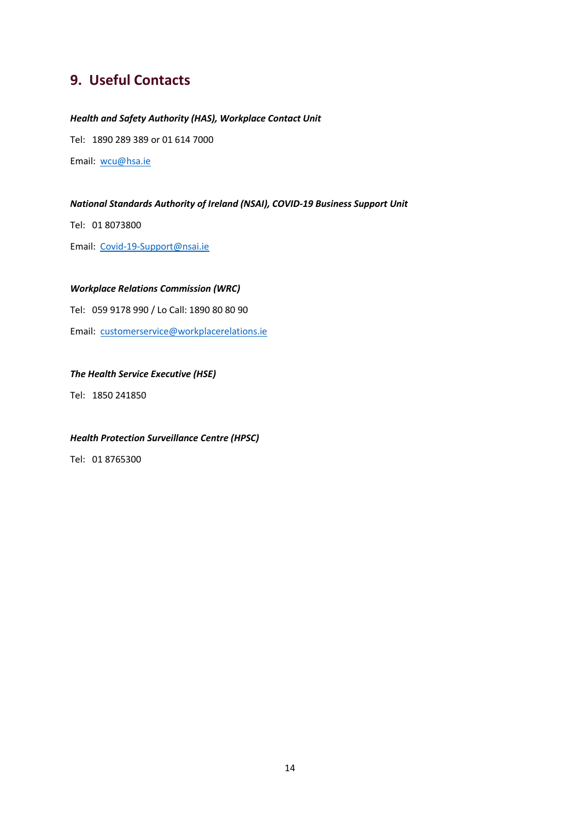### <span id="page-14-0"></span>**9. Useful Contacts**

#### *Health and Safety Authority (HAS), Workplace Contact Unit*

Tel: 1890 289 389 or 01 614 7000

Email: [wcu@hsa.ie](mailto:wcu@hsa.ie)

#### *National Standards Authority of Ireland (NSAI), COVID-19 Business Support Unit*

Tel: 01 8073800

Email: [Covid-19-Support@nsai.ie](mailto:Covid-19-Support@nsai.ie)

#### *Workplace Relations Commission (WRC)*

Tel: 059 9178 990 / Lo Call: 1890 80 80 90

Email: [customerservice@workplacerelations.ie](mailto:customerservice@workplacerelations.ie)

#### *The Health Service Executive (HSE)*

Tel: 1850 241850

#### *Health Protection Surveillance Centre (HPSC)*

Tel: 01 8765300